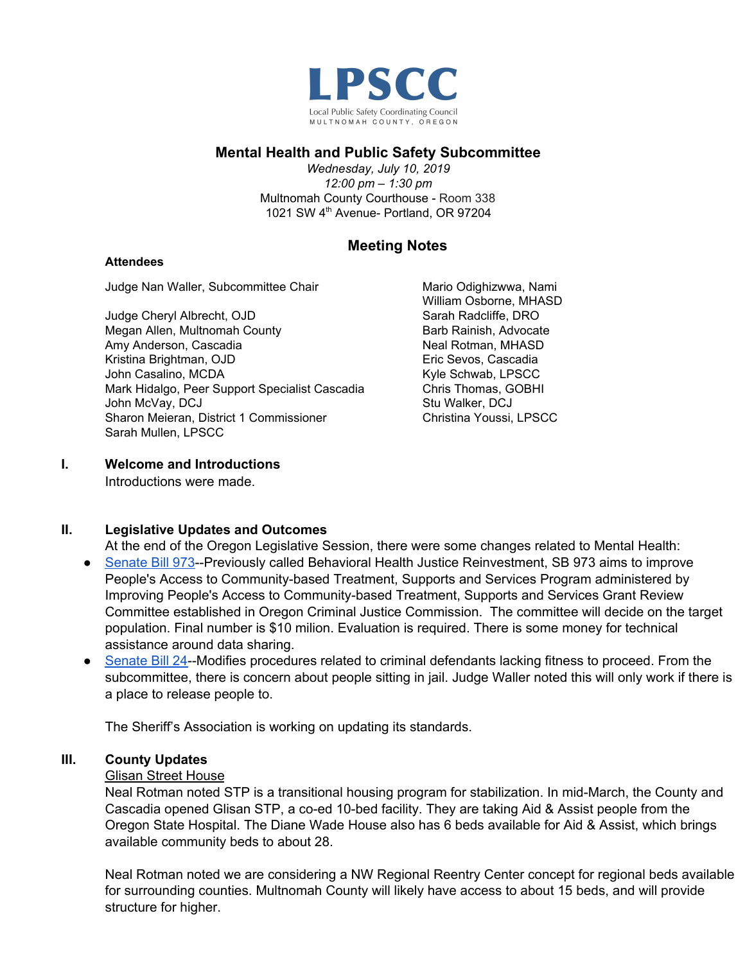

# **Mental Health and Public Safety Subcommittee**

*Wednesday, July 10, 2019 12:00 pm – 1:30 pm* Multnomah County Courthouse - Room 338 1021 SW 4<sup>th</sup> Avenue- Portland, OR 97204

# **Meeting Notes**

#### **Attendees**

Judge Nan Waller, Subcommittee Chair

Judge Cheryl Albrecht, OJD Megan Allen, Multnomah County Amy Anderson, Cascadia Kristina Brightman, OJD John Casalino, MCDA Mark Hidalgo, Peer Support Specialist Cascadia John McVay, DCJ Sharon Meieran, District 1 Commissioner Sarah Mullen, LPSCC

Mario Odighizwwa, Nami William Osborne, MHASD Sarah Radcliffe, DRO Barb Rainish, Advocate Neal Rotman, MHASD Eric Sevos, Cascadia Kyle Schwab, LPSCC Chris Thomas, GOBHI Stu Walker, DCJ Christina Youssi, LPSCC

# **I. Welcome and Introductions**

Introductions were made.

# **II. Legislative Updates and Outcomes**

- At the end of the Oregon Legislative Session, there were some changes related to Mental Health: ● [Senate](https://olis.leg.state.or.us/liz/2019R1/Measures/Overview/SB973) Bill 973--Previously called Behavioral Health Justice Reinvestment, SB 973 aims to improve People's Access to Community-based Treatment, Supports and Services Program administered by Improving People's Access to Community-based Treatment, Supports and Services Grant Review Committee established in Oregon Criminal Justice Commission. The committee will decide on the target population. Final number is \$10 milion. Evaluation is required. There is some money for technical assistance around data sharing.
- [Senate](https://olis.leg.state.or.us/liz/2019R1/Measures/Overview/SB24) Bill 24--Modifies procedures related to criminal defendants lacking fitness to proceed. From the subcommittee, there is concern about people sitting in jail. Judge Waller noted this will only work if there is a place to release people to.

The Sheriff's Association is working on updating its standards.

# **III. County Updates**

# Glisan Street House

Neal Rotman noted STP is a transitional housing program for stabilization. In mid-March, the County and Cascadia opened Glisan STP, a co-ed 10-bed facility. They are taking Aid & Assist people from the Oregon State Hospital. The Diane Wade House also has 6 beds available for Aid & Assist, which brings available community beds to about 28.

Neal Rotman noted we are considering a NW Regional Reentry Center concept for regional beds available for surrounding counties. Multnomah County will likely have access to about 15 beds, and will provide structure for higher.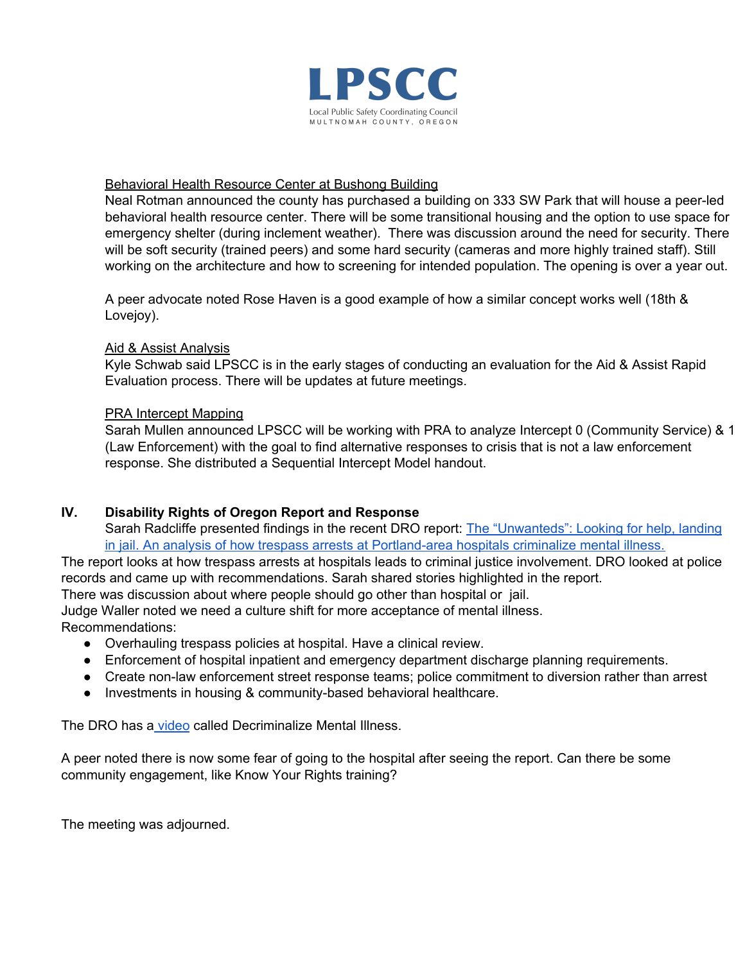

#### Behavioral Health Resource Center at Bushong Building

Neal Rotman announced the county has purchased a building on 333 SW Park that will house a peer-led behavioral health resource center. There will be some transitional housing and the option to use space for emergency shelter (during inclement weather). There was discussion around the need for security. There will be soft security (trained peers) and some hard security (cameras and more highly trained staff). Still working on the architecture and how to screening for intended population. The opening is over a year out.

A peer advocate noted Rose Haven is a good example of how a similar concept works well (18th & Lovejoy).

#### Aid & Assist Analysis

Kyle Schwab said LPSCC is in the early stages of conducting an evaluation for the Aid & Assist Rapid Evaluation process. There will be updates at future meetings.

#### PRA Intercept Mapping

Sarah Mullen announced LPSCC will be working with PRA to analyze Intercept 0 (Community Service) & 1 (Law Enforcement) with the goal to find alternative responses to crisis that is not a law enforcement response. She distributed a Sequential Intercept Model handout.

# **IV. Disability Rights of Oregon Report and Response**

Sarah Radcliffe presented findings in the recent DRO report: The ["Unwanteds":](https://droregon.org/wp-content/uploads/Report-The-Unwanteds-Looking-for-Help-Landing-in-Jail-2019-June18.pdf) Looking for help, landing in jail. An analysis of how trespass arrests at [Portland-area](https://droregon.org/wp-content/uploads/Report-The-Unwanteds-Looking-for-Help-Landing-in-Jail-2019-June18.pdf) hospitals criminalize mental illness.

The report looks at how trespass arrests at hospitals leads to criminal justice involvement. DRO looked at police records and came up with recommendations. Sarah shared stories highlighted in the report.

There was discussion about where people should go other than hospital or jail.

Judge Waller noted we need a culture shift for more acceptance of mental illness. Recommendations:

- Overhauling trespass policies at hospital. Have a clinical review.
- Enforcement of hospital inpatient and emergency department discharge planning requirements.
- Create non-law enforcement street response teams; police commitment to diversion rather than arrest
- Investments in housing & community-based behavioral healthcare.

The DRO has a [video](https://www.youtube.com/watch?v=xfLfdU8Nu9s) called Decriminalize Mental Illness.

A peer noted there is now some fear of going to the hospital after seeing the report. Can there be some community engagement, like Know Your Rights training?

The meeting was adjourned.